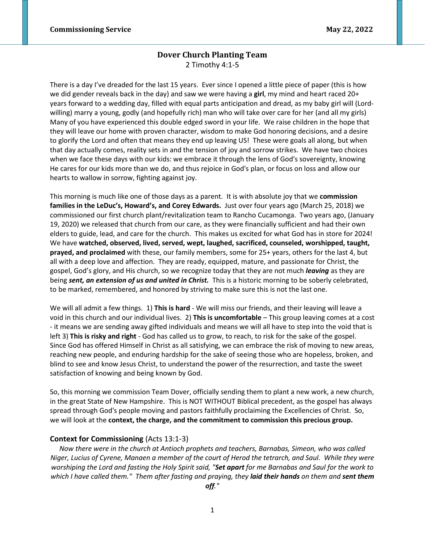# **Dover Church Planting Team** 2 Timothy 4:1-5

There is a day I've dreaded for the last 15 years. Ever since I opened a little piece of paper (this is how we did gender reveals back in the day) and saw we were having a **girl**, my mind and heart raced 20+ years forward to a wedding day, filled with equal parts anticipation and dread, as my baby girl will (Lordwilling) marry a young, godly (and hopefully rich) man who will take over care for her (and all my girls) Many of you have experienced this double edged sword in your life. We raise children in the hope that they will leave our home with proven character, wisdom to make God honoring decisions, and a desire to glorify the Lord and often that means they end up leaving US! These were goals all along, but when that day actually comes, reality sets in and the tension of joy and sorrow strikes. We have two choices when we face these days with our kids: we embrace it through the lens of God's sovereignty, knowing He cares for our kids more than we do, and thus rejoice in God's plan, or focus on loss and allow our hearts to wallow in sorrow, fighting against joy.

This morning is much like one of those days as a parent. It is with absolute joy that we **commission families in the LeDuc's, Howard's, and Corey Edwards.** Just over four years ago (March 25, 2018) we commissioned our first church plant/revitalization team to Rancho Cucamonga. Two years ago, (January 19, 2020) we released that church from our care, as they were financially sufficient and had their own elders to guide, lead, and care for the church. This makes us excited for what God has in store for 2024! We have **watched, observed, lived, served, wept, laughed, sacrificed, counseled, worshipped, taught, prayed, and proclaimed** with these, our family members, some for 25+ years, others for the last 4, but all with a deep love and affection. They are ready, equipped, mature, and passionate for Christ, the gospel, God's glory, and His church, so we recognize today that they are not much *leaving* as they are being *sent, an extension of us and united in Christ.* This is a historic morning to be soberly celebrated, to be marked, remembered, and honored by striving to make sure this is not the last one.

We will all admit a few things. 1) **This is hard** - We will miss our friends, and their leaving will leave a void in this church and our individual lives. 2) **This is uncomfortable** – This group leaving comes at a cost - it means we are sending away gifted individuals and means we will all have to step into the void that is left 3) **This is risky and right** - God has called us to grow, to reach, to risk for the sake of the gospel. Since God has offered Himself in Christ as all satisfying, we can embrace the risk of moving to new areas, reaching new people, and enduring hardship for the sake of seeing those who are hopeless, broken, and blind to see and know Jesus Christ, to understand the power of the resurrection, and taste the sweet satisfaction of knowing and being known by God.

So, this morning we commission Team Dover, officially sending them to plant a new work, a new church, in the great State of New Hampshire. This is NOT WITHOUT Biblical precedent, as the gospel has always spread through God's people moving and pastors faithfully proclaiming the Excellencies of Christ. So, we will look at the **context, the charge, and the commitment to commission this precious group.** 

# **Context for Commissioning** (Acts 13:1-3)

*Now there were in the church at Antioch prophets and teachers, Barnabas, Simeon, who was called Niger, Lucius of Cyrene, Manaen a member of the court of Herod the tetrarch, and Saul. While they were worshiping the Lord and fasting the Holy Spirit said, "Set apart for me Barnabas and Saul for the work to which I have called them." Them after fasting and praying, they laid their hands on them and sent them* 

*off."*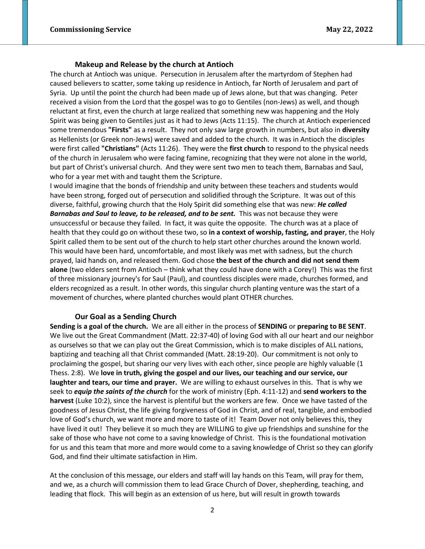#### **Makeup and Release by the church at Antioch**

The church at Antioch was unique. Persecution in Jerusalem after the martyrdom of Stephen had caused believers to scatter, some taking up residence in Antioch, far North of Jerusalem and part of Syria. Up until the point the church had been made up of Jews alone, but that was changing. Peter received a vision from the Lord that the gospel was to go to Gentiles (non-Jews) as well, and though reluctant at first, even the church at large realized that something new was happening and the Holy Spirit was being given to Gentiles just as it had to Jews (Acts 11:15). The church at Antioch experienced some tremendous **"Firsts"** as a result. They not only saw large growth in numbers, but also in **diversity**  as Hellenists (or Greek non-Jews) were saved and added to the church. It was in Antioch the disciples were first called **"Christians"** (Acts 11:26). They were the **first church** to respond to the physical needs of the church in Jerusalem who were facing famine, recognizing that they were not alone in the world, but part of Christ's universal church. And they were sent two men to teach them, Barnabas and Saul, who for a year met with and taught them the Scripture.

I would imagine that the bonds of friendship and unity between these teachers and students would have been strong, forged out of persecution and solidified through the Scripture. It was out of this diverse, faithful, growing church that the Holy Spirit did something else that was new: *He called*  **Barnabas and Saul to leave, to be released, and to be sent.** This was not because they were unsuccessful or because they failed. In fact, it was quite the opposite. The church was at a place of health that they could go on without these two, so **in a context of worship, fasting, and prayer**, the Holy Spirit called them to be sent out of the church to help start other churches around the known world. This would have been hard, uncomfortable, and most likely was met with sadness, but the church prayed, laid hands on, and released them. God chose **the best of the church and did not send them alone** (two elders sent from Antioch – think what they could have done with a Corey!) This was the first of three missionary journey's for Saul (Paul), and countless disciples were made, churches formed, and elders recognized as a result. In other words, this singular church planting venture was the start of a movement of churches, where planted churches would plant OTHER churches.

#### **Our Goal as a Sending Church**

**Sending is a goal of the church.** We are all either in the process of **SENDING** or **preparing to BE SENT**. We live out the Great Commandment (Matt. 22:37-40) of loving God with all our heart and our neighbor as ourselves so that we can play out the Great Commission, which is to make disciples of ALL nations, baptizing and teaching all that Christ commanded (Matt. 28:19-20). Our commitment is not only to proclaiming the gospel, but sharing our very lives with each other, since people are highly valuable (1 Thess. 2:8). We **love in truth, giving the gospel and our lives, our teaching and our service, our laughter and tears, our time and prayer.** We are willing to exhaust ourselves in this. That is why we seek to *equip the saints of the church* for the work of ministry (Eph. 4:11-12) and **send workers to the harvest** (Luke 10:2), since the harvest is plentiful but the workers are few. Once we have tasted of the goodness of Jesus Christ, the life giving forgiveness of God in Christ, and of real, tangible, and embodied love of God's church, we want more and more to taste of it! Team Dover not only believes this, they have lived it out! They believe it so much they are WILLING to give up friendships and sunshine for the sake of those who have not come to a saving knowledge of Christ. This is the foundational motivation for us and this team that more and more would come to a saving knowledge of Christ so they can glorify God, and find their ultimate satisfaction in Him.

At the conclusion of this message, our elders and staff will lay hands on this Team, will pray for them, and we, as a church will commission them to lead Grace Church of Dover, shepherding, teaching, and leading that flock. This will begin as an extension of us here, but will result in growth towards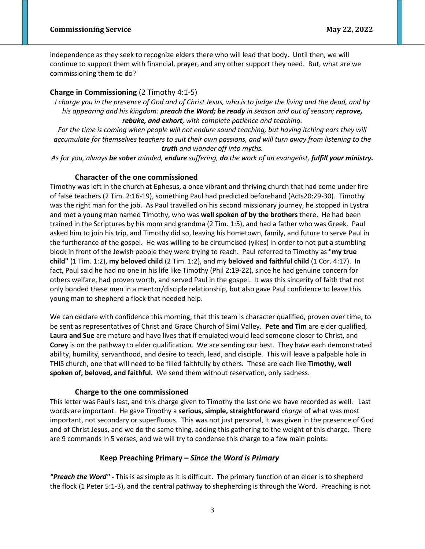independence as they seek to recognize elders there who will lead that body. Until then, we will continue to support them with financial, prayer, and any other support they need. But, what are we commissioning them to do?

## **Charge in Commissioning** (2 Timothy 4:1-5)

*I charge you in the presence of God and of Christ Jesus, who is to judge the living and the dead, and by his appearing and his kingdom: preach the Word; be ready in season and out of season; reprove, rebuke, and exhort, with complete patience and teaching.*

*For the time is coming when people will not endure sound teaching, but having itching ears they will accumulate for themselves teachers to suit their own passions, and will turn away from listening to the truth and wander off into myths.*

*As for you, always be sober minded, endure suffering, do the work of an evangelist, fulfill your ministry.* 

#### **Character of the one commissioned**

Timothy was left in the church at Ephesus, a once vibrant and thriving church that had come under fire of false teachers (2 Tim. 2:16-19), something Paul had predicted beforehand (Acts20:29-30). Timothy was the right man for the job. As Paul travelled on his second missionary journey, he stopped in Lystra and met a young man named Timothy, who was **well spoken of by the brothers** there. He had been trained in the Scriptures by his mom and grandma (2 Tim. 1:5), and had a father who was Greek. Paul asked him to join his trip, and Timothy did so, leaving his hometown, family, and future to serve Paul in the furtherance of the gospel. He was willing to be circumcised (yikes) in order to not put a stumbling block in front of the Jewish people they were trying to reach. Paul referred to Timothy as "**my true child"** (1 Tim. 1:2), **my beloved child** (2 Tim. 1:2), and my **beloved and faithful child** (1 Cor. 4:17). In fact, Paul said he had no one in his life like Timothy (Phil 2:19-22), since he had genuine concern for others welfare, had proven worth, and served Paul in the gospel. It was this sincerity of faith that not only bonded these men in a mentor/disciple relationship, but also gave Paul confidence to leave this young man to shepherd a flock that needed help.

We can declare with confidence this morning, that this team is character qualified, proven over time, to be sent as representatives of Christ and Grace Church of Simi Valley. **Pete and Tim** are elder qualified, **Laura and Sue** are mature and have lives that if emulated would lead someone closer to Christ, and **Corey** is on the pathway to elder qualification. We are sending our best. They have each demonstrated ability, humility, servanthood, and desire to teach, lead, and disciple. This will leave a palpable hole in THIS church, one that will need to be filled faithfully by others. These are each like **Timothy, well spoken of, beloved, and faithful.** We send them without reservation, only sadness.

#### **Charge to the one commissioned**

This letter was Paul's last, and this charge given to Timothy the last one we have recorded as well. Last words are important. He gave Timothy a **serious, simple, straightforward** *charge* of what was most important, not secondary or superfluous. This was not just personal, it was given in the presence of God and of Christ Jesus, and we do the same thing, adding this gathering to the weight of this charge. There are 9 commands in 5 verses, and we will try to condense this charge to a few main points:

#### **Keep Preaching Primary –** *Since the Word is Primary*

*"Preach the Word" -* This is as simple as it is difficult. The primary function of an elder is to shepherd the flock (1 Peter 5:1-3), and the central pathway to shepherding is through the Word. Preaching is not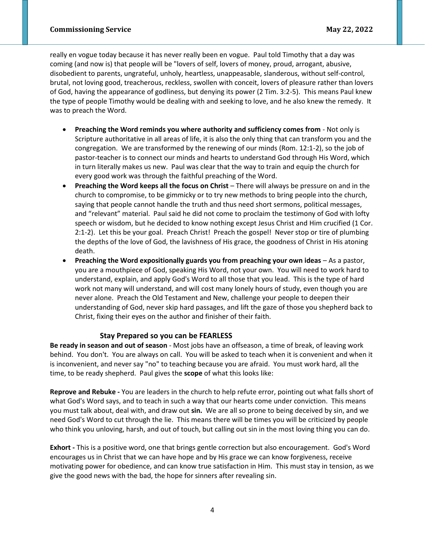really en vogue today because it has never really been en vogue. Paul told Timothy that a day was coming (and now is) that people will be "lovers of self, lovers of money, proud, arrogant, abusive, disobedient to parents, ungrateful, unholy, heartless, unappeasable, slanderous, without self-control, brutal, not loving good, treacherous, reckless, swollen with conceit, lovers of pleasure rather than lovers of God, having the appearance of godliness, but denying its power (2 Tim. 3:2-5). This means Paul knew the type of people Timothy would be dealing with and seeking to love, and he also knew the remedy. It was to preach the Word.

- **Preaching the Word reminds you where authority and sufficiency comes from** Not only is Scripture authoritative in all areas of life, it is also the only thing that can transform you and the congregation. We are transformed by the renewing of our minds (Rom. 12:1-2), so the job of pastor-teacher is to connect our minds and hearts to understand God through His Word, which in turn literally makes us new. Paul was clear that the way to train and equip the church for every good work was through the faithful preaching of the Word.
- **Preaching the Word keeps all the focus on Christ** There will always be pressure on and in the church to compromise, to be gimmicky or to try new methods to bring people into the church, saying that people cannot handle the truth and thus need short sermons, political messages, and "relevant" material. Paul said he did not come to proclaim the testimony of God with lofty speech or wisdom, but he decided to know nothing except Jesus Christ and Him crucified (1 Cor. 2:1-2). Let this be your goal. Preach Christ! Preach the gospel! Never stop or tire of plumbing the depths of the love of God, the lavishness of His grace, the goodness of Christ in His atoning death.
- **Preaching the Word expositionally guards you from preaching your own ideas** As a pastor, you are a mouthpiece of God, speaking His Word, not your own. You will need to work hard to understand, explain, and apply God's Word to all those that you lead. This is the type of hard work not many will understand, and will cost many lonely hours of study, even though you are never alone. Preach the Old Testament and New, challenge your people to deepen their understanding of God, never skip hard passages, and lift the gaze of those you shepherd back to Christ, fixing their eyes on the author and finisher of their faith.

# **Stay Prepared so you can be FEARLESS**

**Be ready in season and out of season** - Most jobs have an offseason, a time of break, of leaving work behind. You don't. You are always on call. You will be asked to teach when it is convenient and when it is inconvenient, and never say "no" to teaching because you are afraid. You must work hard, all the time, to be ready shepherd. Paul gives the **scope** of what this looks like:

**Reprove and Rebuke -** You are leaders in the church to help refute error, pointing out what falls short of what God's Word says, and to teach in such a way that our hearts come under conviction. This means you must talk about, deal with, and draw out **sin.** We are all so prone to being deceived by sin, and we need God's Word to cut through the lie. This means there will be times you will be criticized by people who think you unloving, harsh, and out of touch, but calling out sin in the most loving thing you can do.

**Exhort -** This is a positive word, one that brings gentle correction but also encouragement. God's Word encourages us in Christ that we can have hope and by His grace we can know forgiveness, receive motivating power for obedience, and can know true satisfaction in Him. This must stay in tension, as we give the good news with the bad, the hope for sinners after revealing sin.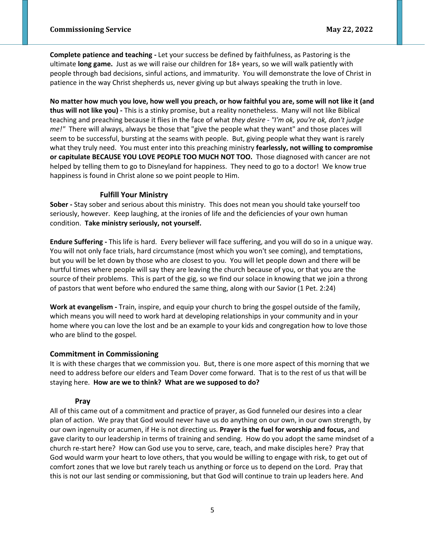**Complete patience and teaching -** Let your success be defined by faithfulness, as Pastoring is the ultimate **long game.** Just as we will raise our children for 18+ years, so we will walk patiently with people through bad decisions, sinful actions, and immaturity. You will demonstrate the love of Christ in patience in the way Christ shepherds us, never giving up but always speaking the truth in love.

**No matter how much you love, how well you preach, or how faithful you are, some will not like it (and thus will not like you) -** This is a stinky promise, but a reality nonetheless. Many will not like Biblical teaching and preaching because it flies in the face of what *they desire - "I'm ok, you're ok, don't judge me!"* There will always, always be those that "give the people what they want" and those places will seem to be successful, bursting at the seams with people. But, giving people what they want is rarely what they truly need. You must enter into this preaching ministry **fearlessly, not willing to compromise or capitulate BECAUSE YOU LOVE PEOPLE TOO MUCH NOT TOO.** Those diagnosed with cancer are not helped by telling them to go to Disneyland for happiness. They need to go to a doctor! We know true happiness is found in Christ alone so we point people to Him.

#### **Fulfill Your Ministry**

**Sober -** Stay sober and serious about this ministry. This does not mean you should take yourself too seriously, however. Keep laughing, at the ironies of life and the deficiencies of your own human condition. **Take ministry seriously, not yourself.**

**Endure Suffering -** This life is hard. Every believer will face suffering, and you will do so in a unique way. You will not only face trials, hard circumstance (most which you won't see coming), and temptations, but you will be let down by those who are closest to you. You will let people down and there will be hurtful times where people will say they are leaving the church because of you, or that you are the source of their problems. This is part of the gig, so we find our solace in knowing that we join a throng of pastors that went before who endured the same thing, along with our Savior (1 Pet. 2:24)

**Work at evangelism -** Train, inspire, and equip your church to bring the gospel outside of the family, which means you will need to work hard at developing relationships in your community and in your home where you can love the lost and be an example to your kids and congregation how to love those who are blind to the gospel.

### **Commitment in Commissioning**

It is with these charges that we commission you. But, there is one more aspect of this morning that we need to address before our elders and Team Dover come forward. That is to the rest of us that will be staying here. **How are we to think? What are we supposed to do?** 

### **Pray**

All of this came out of a commitment and practice of prayer, as God funneled our desires into a clear plan of action. We pray that God would never have us do anything on our own, in our own strength, by our own ingenuity or acumen, if He is not directing us. **Prayer is the fuel for worship and focus,** and gave clarity to our leadership in terms of training and sending. How do you adopt the same mindset of a church re-start here? How can God use you to serve, care, teach, and make disciples here? Pray that God would warm your heart to love others, that you would be willing to engage with risk, to get out of comfort zones that we love but rarely teach us anything or force us to depend on the Lord. Pray that this is not our last sending or commissioning, but that God will continue to train up leaders here. And